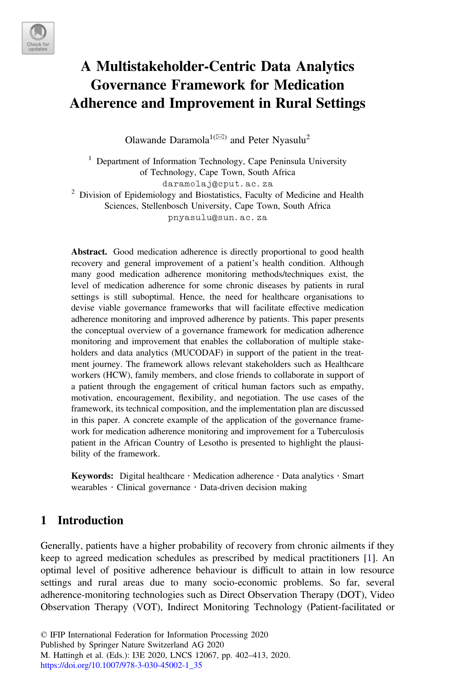

# A Multistakeholder-Centric Data Analytics Governance Framework for Medication Adherence and Improvement in Rural Settings

Olawande Daramola<sup>1( $\boxtimes$ )</sup> and Peter Nyasulu<sup>2</sup>

 $1$  Department of Information Technology, Cape Peninsula University of Technology, Cape Town, South Africa daramolaj@cput.ac.za <sup>2</sup> Division of Epidemiology and Biostatistics, Faculty of Medicine and Health Sciences, Stellenbosch University, Cape Town, South Africa

pnyasulu@sun.ac.za

Abstract. Good medication adherence is directly proportional to good health recovery and general improvement of a patient's health condition. Although many good medication adherence monitoring methods/techniques exist, the level of medication adherence for some chronic diseases by patients in rural settings is still suboptimal. Hence, the need for healthcare organisations to devise viable governance frameworks that will facilitate effective medication adherence monitoring and improved adherence by patients. This paper presents the conceptual overview of a governance framework for medication adherence monitoring and improvement that enables the collaboration of multiple stakeholders and data analytics (MUCODAF) in support of the patient in the treatment journey. The framework allows relevant stakeholders such as Healthcare workers (HCW), family members, and close friends to collaborate in support of a patient through the engagement of critical human factors such as empathy, motivation, encouragement, flexibility, and negotiation. The use cases of the framework, its technical composition, and the implementation plan are discussed in this paper. A concrete example of the application of the governance framework for medication adherence monitoring and improvement for a Tuberculosis patient in the African Country of Lesotho is presented to highlight the plausibility of the framework.

Keywords: Digital healthcare  $\cdot$  Medication adherence  $\cdot$  Data analytics  $\cdot$  Smart wearables  $\cdot$  Clinical governance  $\cdot$  Data-driven decision making

## 1 Introduction

Generally, patients have a higher probability of recovery from chronic ailments if they keep to agreed medication schedules as prescribed by medical practitioners [[1\]](#page-10-0). An optimal level of positive adherence behaviour is difficult to attain in low resource settings and rural areas due to many socio-economic problems. So far, several adherence-monitoring technologies such as Direct Observation Therapy (DOT), Video Observation Therapy (VOT), Indirect Monitoring Technology (Patient-facilitated or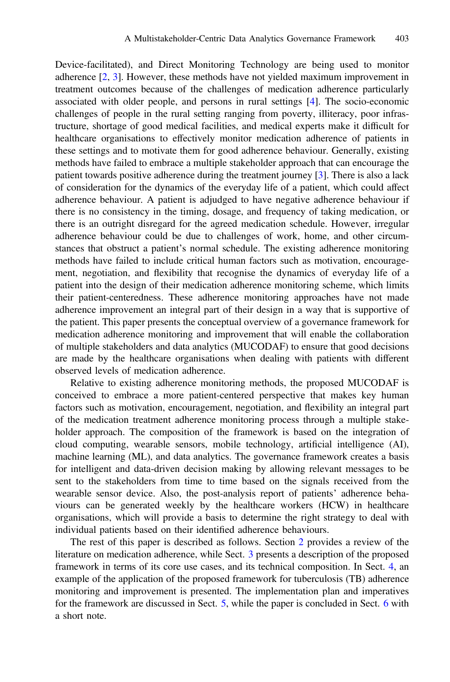Device-facilitated), and Direct Monitoring Technology are being used to monitor adherence [[2,](#page-10-0) [3](#page-10-0)]. However, these methods have not yielded maximum improvement in treatment outcomes because of the challenges of medication adherence particularly associated with older people, and persons in rural settings [[4\]](#page-10-0). The socio-economic challenges of people in the rural setting ranging from poverty, illiteracy, poor infrastructure, shortage of good medical facilities, and medical experts make it difficult for healthcare organisations to effectively monitor medication adherence of patients in these settings and to motivate them for good adherence behaviour. Generally, existing methods have failed to embrace a multiple stakeholder approach that can encourage the patient towards positive adherence during the treatment journey [[3\]](#page-10-0). There is also a lack of consideration for the dynamics of the everyday life of a patient, which could affect adherence behaviour. A patient is adjudged to have negative adherence behaviour if there is no consistency in the timing, dosage, and frequency of taking medication, or there is an outright disregard for the agreed medication schedule. However, irregular adherence behaviour could be due to challenges of work, home, and other circumstances that obstruct a patient's normal schedule. The existing adherence monitoring methods have failed to include critical human factors such as motivation, encouragement, negotiation, and flexibility that recognise the dynamics of everyday life of a patient into the design of their medication adherence monitoring scheme, which limits their patient-centeredness. These adherence monitoring approaches have not made adherence improvement an integral part of their design in a way that is supportive of the patient. This paper presents the conceptual overview of a governance framework for medication adherence monitoring and improvement that will enable the collaboration of multiple stakeholders and data analytics (MUCODAF) to ensure that good decisions are made by the healthcare organisations when dealing with patients with different observed levels of medication adherence.

Relative to existing adherence monitoring methods, the proposed MUCODAF is conceived to embrace a more patient-centered perspective that makes key human factors such as motivation, encouragement, negotiation, and flexibility an integral part of the medication treatment adherence monitoring process through a multiple stakeholder approach. The composition of the framework is based on the integration of cloud computing, wearable sensors, mobile technology, artificial intelligence (AI), machine learning (ML), and data analytics. The governance framework creates a basis for intelligent and data-driven decision making by allowing relevant messages to be sent to the stakeholders from time to time based on the signals received from the wearable sensor device. Also, the post-analysis report of patients' adherence behaviours can be generated weekly by the healthcare workers (HCW) in healthcare organisations, which will provide a basis to determine the right strategy to deal with individual patients based on their identified adherence behaviours.

The rest of this paper is described as follows. Section [2](#page-2-0) provides a review of the literature on medication adherence, while Sect. [3](#page-2-0) presents a description of the proposed framework in terms of its core use cases, and its technical composition. In Sect. [4,](#page-7-0) an example of the application of the proposed framework for tuberculosis (TB) adherence monitoring and improvement is presented. The implementation plan and imperatives for the framework are discussed in Sect. [5,](#page-8-0) while the paper is concluded in Sect. [6](#page-10-0) with a short note.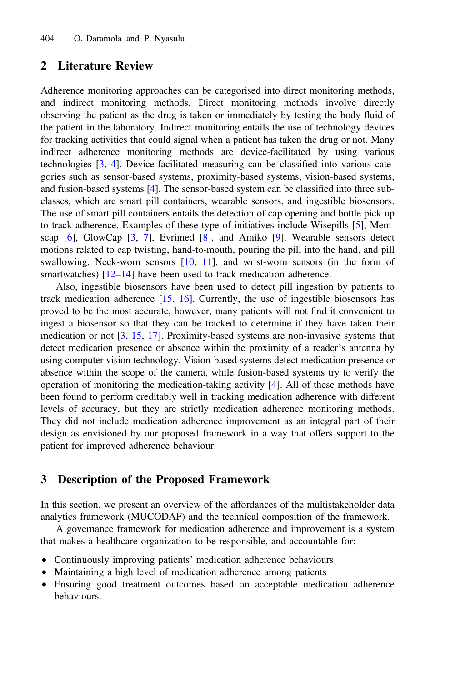#### <span id="page-2-0"></span>2 Literature Review

Adherence monitoring approaches can be categorised into direct monitoring methods, and indirect monitoring methods. Direct monitoring methods involve directly observing the patient as the drug is taken or immediately by testing the body fluid of the patient in the laboratory. Indirect monitoring entails the use of technology devices for tracking activities that could signal when a patient has taken the drug or not. Many indirect adherence monitoring methods are device-facilitated by using various technologies [[3,](#page-10-0) [4](#page-10-0)]. Device-facilitated measuring can be classified into various categories such as sensor-based systems, proximity-based systems, vision-based systems, and fusion-based systems [[4\]](#page-10-0). The sensor-based system can be classified into three subclasses, which are smart pill containers, wearable sensors, and ingestible biosensors. The use of smart pill containers entails the detection of cap opening and bottle pick up to track adherence. Examples of these type of initiatives include Wisepills [\[5](#page-10-0)], Memscap [[6\]](#page-11-0), GlowCap [[3,](#page-10-0) [7](#page-11-0)], Evrimed [\[8](#page-11-0)], and Amiko [\[9](#page-11-0)]. Wearable sensors detect motions related to cap twisting, hand-to-mouth, pouring the pill into the hand, and pill swallowing. Neck-worn sensors [[10,](#page-11-0) [11](#page-11-0)], and wrist-worn sensors (in the form of smartwatches) [\[12](#page-11-0)–[14](#page-11-0)] have been used to track medication adherence.

Also, ingestible biosensors have been used to detect pill ingestion by patients to track medication adherence [\[15](#page-11-0), [16\]](#page-11-0). Currently, the use of ingestible biosensors has proved to be the most accurate, however, many patients will not find it convenient to ingest a biosensor so that they can be tracked to determine if they have taken their medication or not [[3,](#page-10-0) [15](#page-11-0), [17](#page-11-0)]. Proximity-based systems are non-invasive systems that detect medication presence or absence within the proximity of a reader's antenna by using computer vision technology. Vision-based systems detect medication presence or absence within the scope of the camera, while fusion-based systems try to verify the operation of monitoring the medication-taking activity [\[4](#page-10-0)]. All of these methods have been found to perform creditably well in tracking medication adherence with different levels of accuracy, but they are strictly medication adherence monitoring methods. They did not include medication adherence improvement as an integral part of their design as envisioned by our proposed framework in a way that offers support to the patient for improved adherence behaviour.

#### 3 Description of the Proposed Framework

In this section, we present an overview of the affordances of the multistakeholder data analytics framework (MUCODAF) and the technical composition of the framework.

A governance framework for medication adherence and improvement is a system that makes a healthcare organization to be responsible, and accountable for:

- Continuously improving patients' medication adherence behaviours
- Maintaining a high level of medication adherence among patients
- Ensuring good treatment outcomes based on acceptable medication adherence behaviours.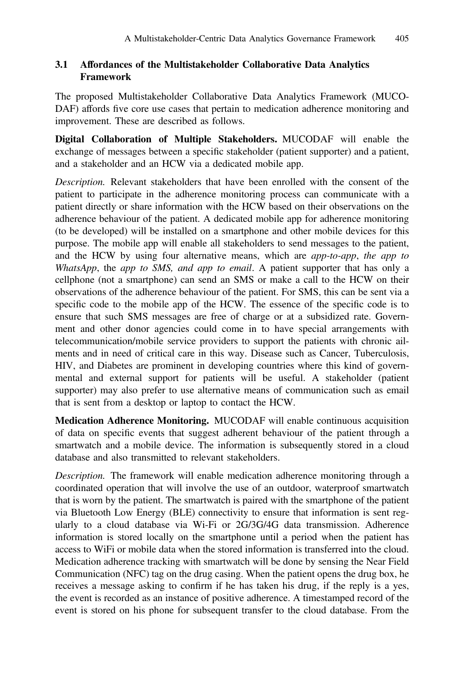## <span id="page-3-0"></span>3.1 Affordances of the Multistakeholder Collaborative Data Analytics Framework

The proposed Multistakeholder Collaborative Data Analytics Framework (MUCO-DAF) affords five core use cases that pertain to medication adherence monitoring and improvement. These are described as follows.

Digital Collaboration of Multiple Stakeholders. MUCODAF will enable the exchange of messages between a specific stakeholder (patient supporter) and a patient, and a stakeholder and an HCW via a dedicated mobile app.

Description. Relevant stakeholders that have been enrolled with the consent of the patient to participate in the adherence monitoring process can communicate with a patient directly or share information with the HCW based on their observations on the adherence behaviour of the patient. A dedicated mobile app for adherence monitoring (to be developed) will be installed on a smartphone and other mobile devices for this purpose. The mobile app will enable all stakeholders to send messages to the patient, and the HCW by using four alternative means, which are app-to-app, the app to WhatsApp, the app to SMS, and app to email. A patient supporter that has only a cellphone (not a smartphone) can send an SMS or make a call to the HCW on their observations of the adherence behaviour of the patient. For SMS, this can be sent via a specific code to the mobile app of the HCW. The essence of the specific code is to ensure that such SMS messages are free of charge or at a subsidized rate. Government and other donor agencies could come in to have special arrangements with telecommunication/mobile service providers to support the patients with chronic ailments and in need of critical care in this way. Disease such as Cancer, Tuberculosis, HIV, and Diabetes are prominent in developing countries where this kind of governmental and external support for patients will be useful. A stakeholder (patient supporter) may also prefer to use alternative means of communication such as email that is sent from a desktop or laptop to contact the HCW.

Medication Adherence Monitoring. MUCODAF will enable continuous acquisition of data on specific events that suggest adherent behaviour of the patient through a smartwatch and a mobile device. The information is subsequently stored in a cloud database and also transmitted to relevant stakeholders.

Description. The framework will enable medication adherence monitoring through a coordinated operation that will involve the use of an outdoor, waterproof smartwatch that is worn by the patient. The smartwatch is paired with the smartphone of the patient via Bluetooth Low Energy (BLE) connectivity to ensure that information is sent regularly to a cloud database via Wi-Fi or 2G/3G/4G data transmission. Adherence information is stored locally on the smartphone until a period when the patient has access to WiFi or mobile data when the stored information is transferred into the cloud. Medication adherence tracking with smartwatch will be done by sensing the Near Field Communication (NFC) tag on the drug casing. When the patient opens the drug box, he receives a message asking to confirm if he has taken his drug, if the reply is a yes, the event is recorded as an instance of positive adherence. A timestamped record of the event is stored on his phone for subsequent transfer to the cloud database. From the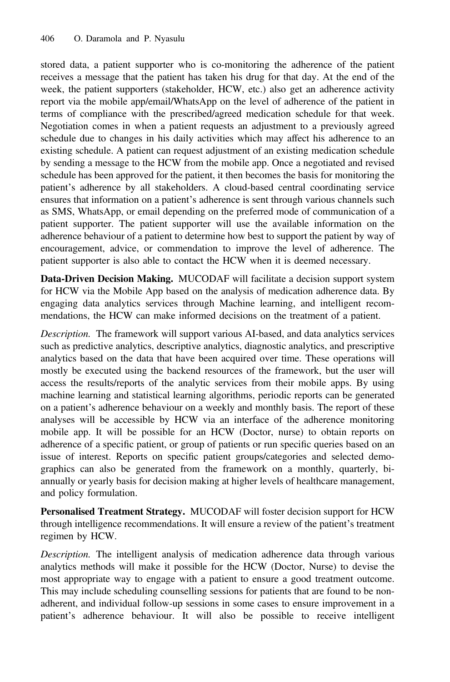stored data, a patient supporter who is co-monitoring the adherence of the patient receives a message that the patient has taken his drug for that day. At the end of the week, the patient supporters (stakeholder, HCW, etc.) also get an adherence activity report via the mobile app/email/WhatsApp on the level of adherence of the patient in terms of compliance with the prescribed/agreed medication schedule for that week. Negotiation comes in when a patient requests an adjustment to a previously agreed schedule due to changes in his daily activities which may affect his adherence to an existing schedule. A patient can request adjustment of an existing medication schedule by sending a message to the HCW from the mobile app. Once a negotiated and revised schedule has been approved for the patient, it then becomes the basis for monitoring the patient's adherence by all stakeholders. A cloud-based central coordinating service ensures that information on a patient's adherence is sent through various channels such as SMS, WhatsApp, or email depending on the preferred mode of communication of a patient supporter. The patient supporter will use the available information on the adherence behaviour of a patient to determine how best to support the patient by way of encouragement, advice, or commendation to improve the level of adherence. The patient supporter is also able to contact the HCW when it is deemed necessary.

Data-Driven Decision Making. MUCODAF will facilitate a decision support system for HCW via the Mobile App based on the analysis of medication adherence data. By engaging data analytics services through Machine learning, and intelligent recommendations, the HCW can make informed decisions on the treatment of a patient.

Description. The framework will support various AI-based, and data analytics services such as predictive analytics, descriptive analytics, diagnostic analytics, and prescriptive analytics based on the data that have been acquired over time. These operations will mostly be executed using the backend resources of the framework, but the user will access the results/reports of the analytic services from their mobile apps. By using machine learning and statistical learning algorithms, periodic reports can be generated on a patient's adherence behaviour on a weekly and monthly basis. The report of these analyses will be accessible by HCW via an interface of the adherence monitoring mobile app. It will be possible for an HCW (Doctor, nurse) to obtain reports on adherence of a specific patient, or group of patients or run specific queries based on an issue of interest. Reports on specific patient groups/categories and selected demographics can also be generated from the framework on a monthly, quarterly, biannually or yearly basis for decision making at higher levels of healthcare management, and policy formulation.

Personalised Treatment Strategy. MUCODAF will foster decision support for HCW through intelligence recommendations. It will ensure a review of the patient's treatment regimen by HCW.

Description. The intelligent analysis of medication adherence data through various analytics methods will make it possible for the HCW (Doctor, Nurse) to devise the most appropriate way to engage with a patient to ensure a good treatment outcome. This may include scheduling counselling sessions for patients that are found to be nonadherent, and individual follow-up sessions in some cases to ensure improvement in a patient's adherence behaviour. It will also be possible to receive intelligent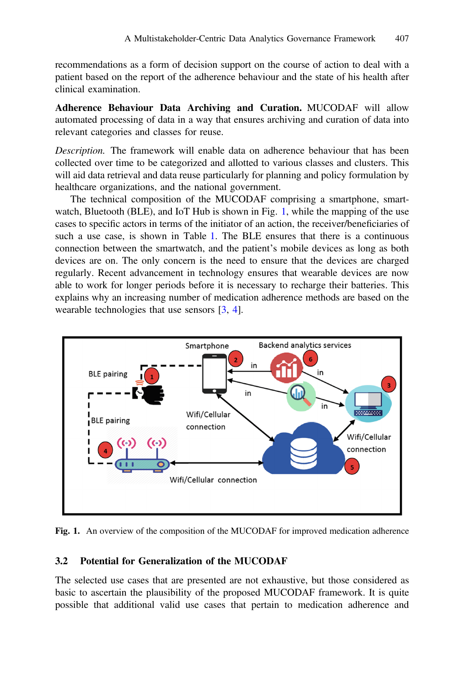recommendations as a form of decision support on the course of action to deal with a patient based on the report of the adherence behaviour and the state of his health after clinical examination.

Adherence Behaviour Data Archiving and Curation. MUCODAF will allow automated processing of data in a way that ensures archiving and curation of data into relevant categories and classes for reuse.

Description. The framework will enable data on adherence behaviour that has been collected over time to be categorized and allotted to various classes and clusters. This will aid data retrieval and data reuse particularly for planning and policy formulation by healthcare organizations, and the national government.

The technical composition of the MUCODAF comprising a smartphone, smartwatch, Bluetooth (BLE), and IoT Hub is shown in Fig. 1, while the mapping of the use cases to specific actors in terms of the initiator of an action, the receiver/beneficiaries of such a use case, is shown in Table [1](#page-6-0). The BLE ensures that there is a continuous connection between the smartwatch, and the patient's mobile devices as long as both devices are on. The only concern is the need to ensure that the devices are charged regularly. Recent advancement in technology ensures that wearable devices are now able to work for longer periods before it is necessary to recharge their batteries. This explains why an increasing number of medication adherence methods are based on the wearable technologies that use sensors [\[3](#page-10-0), [4](#page-10-0)].



Fig. 1. An overview of the composition of the MUCODAF for improved medication adherence

#### 3.2 Potential for Generalization of the MUCODAF

The selected use cases that are presented are not exhaustive, but those considered as basic to ascertain the plausibility of the proposed MUCODAF framework. It is quite possible that additional valid use cases that pertain to medication adherence and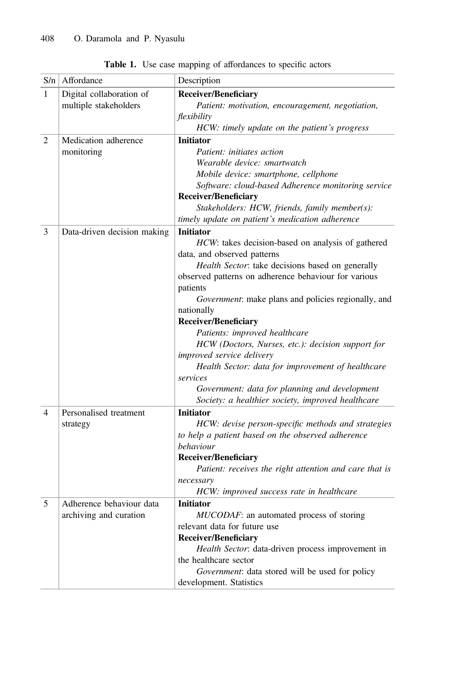<span id="page-6-0"></span>

|                | $S/n$ Affordance            | Description                                            |
|----------------|-----------------------------|--------------------------------------------------------|
| 1              | Digital collaboration of    | Receiver/Beneficiary                                   |
|                | multiple stakeholders       | Patient: motivation, encouragement, negotiation,       |
|                |                             | flexibility                                            |
|                |                             | HCW: timely update on the patient's progress           |
| 2              | Medication adherence        | <b>Initiator</b>                                       |
|                | monitoring                  | Patient: initiates action                              |
|                |                             | Wearable device: smartwatch                            |
|                |                             | Mobile device: smartphone, cellphone                   |
|                |                             | Software: cloud-based Adherence monitoring service     |
|                |                             | <b>Receiver/Beneficiary</b>                            |
|                |                             | Stakeholders: HCW, friends, family member(s):          |
|                |                             | timely update on patient's medication adherence        |
| 3              | Data-driven decision making | <b>Initiator</b>                                       |
|                |                             | HCW: takes decision-based on analysis of gathered      |
|                |                             | data, and observed patterns                            |
|                |                             | Health Sector: take decisions based on generally       |
|                |                             | observed patterns on adherence behaviour for various   |
|                |                             | patients                                               |
|                |                             | Government: make plans and policies regionally, and    |
|                |                             | nationally<br>Receiver/Beneficiary                     |
|                |                             | Patients: improved healthcare                          |
|                |                             | HCW (Doctors, Nurses, etc.): decision support for      |
|                |                             | improved service delivery                              |
|                |                             | Health Sector: data for improvement of healthcare      |
|                |                             | services                                               |
|                |                             | Government: data for planning and development          |
|                |                             | Society: a healthier society, improved healthcare      |
| $\overline{4}$ | Personalised treatment      | <b>Initiator</b>                                       |
|                | strategy                    | HCW: devise person-specific methods and strategies     |
|                |                             | to help a patient based on the observed adherence      |
|                |                             | behaviour                                              |
|                |                             | <b>Receiver/Beneficiary</b>                            |
|                |                             | Patient: receives the right attention and care that is |
|                |                             | necessary                                              |
|                |                             | HCW: improved success rate in healthcare               |
| 5              | Adherence behaviour data    | <b>Initiator</b>                                       |
|                | archiving and curation      | MUCODAF: an automated process of storing               |
|                |                             | relevant data for future use                           |
|                |                             | Receiver/Beneficiary                                   |
|                |                             | Health Sector: data-driven process improvement in      |
|                |                             | the healthcare sector                                  |
|                |                             | Government: data stored will be used for policy        |
|                |                             | development. Statistics                                |

Table 1. Use case mapping of affordances to specific actors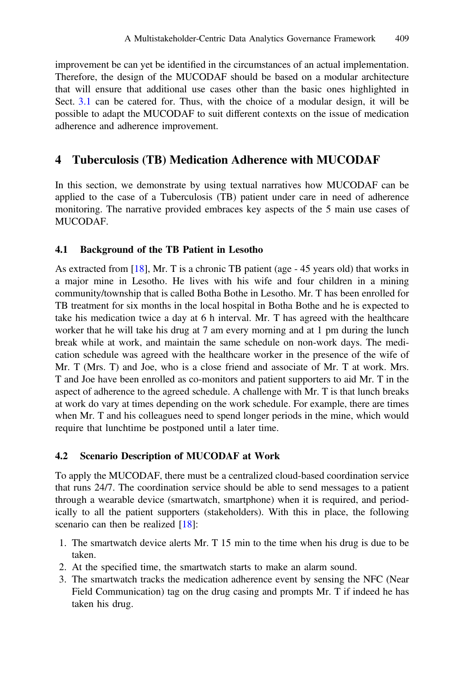<span id="page-7-0"></span>improvement be can yet be identified in the circumstances of an actual implementation. Therefore, the design of the MUCODAF should be based on a modular architecture that will ensure that additional use cases other than the basic ones highlighted in Sect. [3.1](#page-3-0) can be catered for. Thus, with the choice of a modular design, it will be possible to adapt the MUCODAF to suit different contexts on the issue of medication adherence and adherence improvement.

## 4 Tuberculosis (TB) Medication Adherence with MUCODAF

In this section, we demonstrate by using textual narratives how MUCODAF can be applied to the case of a Tuberculosis (TB) patient under care in need of adherence monitoring. The narrative provided embraces key aspects of the 5 main use cases of MUCODAF.

### 4.1 Background of the TB Patient in Lesotho

As extracted from [\[18](#page-11-0)], Mr. T is a chronic TB patient (age - 45 years old) that works in a major mine in Lesotho. He lives with his wife and four children in a mining community/township that is called Botha Bothe in Lesotho. Mr. T has been enrolled for TB treatment for six months in the local hospital in Botha Bothe and he is expected to take his medication twice a day at 6 h interval. Mr. T has agreed with the healthcare worker that he will take his drug at 7 am every morning and at 1 pm during the lunch break while at work, and maintain the same schedule on non-work days. The medication schedule was agreed with the healthcare worker in the presence of the wife of Mr. T (Mrs. T) and Joe, who is a close friend and associate of Mr. T at work. Mrs. T and Joe have been enrolled as co-monitors and patient supporters to aid Mr. T in the aspect of adherence to the agreed schedule. A challenge with Mr. T is that lunch breaks at work do vary at times depending on the work schedule. For example, there are times when Mr. T and his colleagues need to spend longer periods in the mine, which would require that lunchtime be postponed until a later time.

## 4.2 Scenario Description of MUCODAF at Work

To apply the MUCODAF, there must be a centralized cloud-based coordination service that runs 24/7. The coordination service should be able to send messages to a patient through a wearable device (smartwatch, smartphone) when it is required, and periodically to all the patient supporters (stakeholders). With this in place, the following scenario can then be realized [[18\]](#page-11-0):

- 1. The smartwatch device alerts Mr. T 15 min to the time when his drug is due to be taken.
- 2. At the specified time, the smartwatch starts to make an alarm sound.
- 3. The smartwatch tracks the medication adherence event by sensing the NFC (Near Field Communication) tag on the drug casing and prompts Mr. T if indeed he has taken his drug.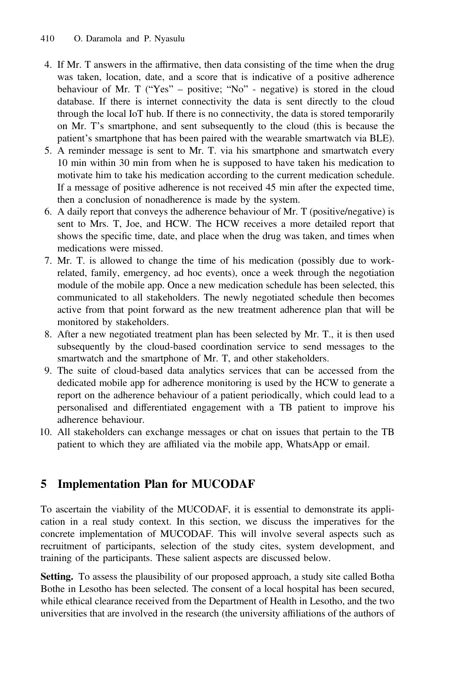- <span id="page-8-0"></span>4. If Mr. T answers in the affirmative, then data consisting of the time when the drug was taken, location, date, and a score that is indicative of a positive adherence behaviour of Mr. T ("Yes" – positive; "No" - negative) is stored in the cloud database. If there is internet connectivity the data is sent directly to the cloud through the local IoT hub. If there is no connectivity, the data is stored temporarily on Mr. T's smartphone, and sent subsequently to the cloud (this is because the patient's smartphone that has been paired with the wearable smartwatch via BLE).
- 5. A reminder message is sent to Mr. T. via his smartphone and smartwatch every 10 min within 30 min from when he is supposed to have taken his medication to motivate him to take his medication according to the current medication schedule. If a message of positive adherence is not received 45 min after the expected time, then a conclusion of nonadherence is made by the system.
- 6. A daily report that conveys the adherence behaviour of Mr. T (positive/negative) is sent to Mrs. T, Joe, and HCW. The HCW receives a more detailed report that shows the specific time, date, and place when the drug was taken, and times when medications were missed.
- 7. Mr. T. is allowed to change the time of his medication (possibly due to workrelated, family, emergency, ad hoc events), once a week through the negotiation module of the mobile app. Once a new medication schedule has been selected, this communicated to all stakeholders. The newly negotiated schedule then becomes active from that point forward as the new treatment adherence plan that will be monitored by stakeholders.
- 8. After a new negotiated treatment plan has been selected by Mr. T., it is then used subsequently by the cloud-based coordination service to send messages to the smartwatch and the smartphone of Mr. T, and other stakeholders.
- 9. The suite of cloud-based data analytics services that can be accessed from the dedicated mobile app for adherence monitoring is used by the HCW to generate a report on the adherence behaviour of a patient periodically, which could lead to a personalised and differentiated engagement with a TB patient to improve his adherence behaviour.
- 10. All stakeholders can exchange messages or chat on issues that pertain to the TB patient to which they are affiliated via the mobile app, WhatsApp or email.

# 5 Implementation Plan for MUCODAF

To ascertain the viability of the MUCODAF, it is essential to demonstrate its application in a real study context. In this section, we discuss the imperatives for the concrete implementation of MUCODAF. This will involve several aspects such as recruitment of participants, selection of the study cites, system development, and training of the participants. These salient aspects are discussed below.

Setting. To assess the plausibility of our proposed approach, a study site called Botha Bothe in Lesotho has been selected. The consent of a local hospital has been secured, while ethical clearance received from the Department of Health in Lesotho, and the two universities that are involved in the research (the university affiliations of the authors of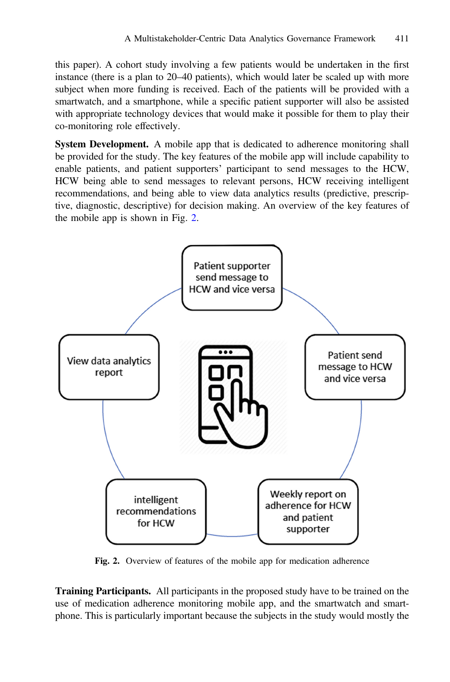this paper). A cohort study involving a few patients would be undertaken in the first instance (there is a plan to 20–40 patients), which would later be scaled up with more subject when more funding is received. Each of the patients will be provided with a smartwatch, and a smartphone, while a specific patient supporter will also be assisted with appropriate technology devices that would make it possible for them to play their co-monitoring role effectively.

System Development. A mobile app that is dedicated to adherence monitoring shall be provided for the study. The key features of the mobile app will include capability to enable patients, and patient supporters' participant to send messages to the HCW, HCW being able to send messages to relevant persons, HCW receiving intelligent recommendations, and being able to view data analytics results (predictive, prescriptive, diagnostic, descriptive) for decision making. An overview of the key features of the mobile app is shown in Fig. 2.



Fig. 2. Overview of features of the mobile app for medication adherence

Training Participants. All participants in the proposed study have to be trained on the use of medication adherence monitoring mobile app, and the smartwatch and smartphone. This is particularly important because the subjects in the study would mostly the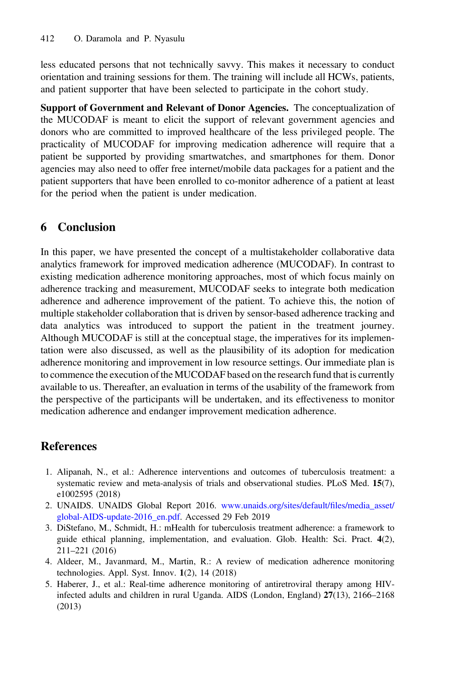<span id="page-10-0"></span>less educated persons that not technically savvy. This makes it necessary to conduct orientation and training sessions for them. The training will include all HCWs, patients, and patient supporter that have been selected to participate in the cohort study.

Support of Government and Relevant of Donor Agencies. The conceptualization of the MUCODAF is meant to elicit the support of relevant government agencies and donors who are committed to improved healthcare of the less privileged people. The practicality of MUCODAF for improving medication adherence will require that a patient be supported by providing smartwatches, and smartphones for them. Donor agencies may also need to offer free internet/mobile data packages for a patient and the patient supporters that have been enrolled to co-monitor adherence of a patient at least for the period when the patient is under medication.

## 6 Conclusion

In this paper, we have presented the concept of a multistakeholder collaborative data analytics framework for improved medication adherence (MUCODAF). In contrast to existing medication adherence monitoring approaches, most of which focus mainly on adherence tracking and measurement, MUCODAF seeks to integrate both medication adherence and adherence improvement of the patient. To achieve this, the notion of multiple stakeholder collaboration that is driven by sensor-based adherence tracking and data analytics was introduced to support the patient in the treatment journey. Although MUCODAF is still at the conceptual stage, the imperatives for its implementation were also discussed, as well as the plausibility of its adoption for medication adherence monitoring and improvement in low resource settings. Our immediate plan is to commence the execution of the MUCODAF based on the research fund that is currently available to us. Thereafter, an evaluation in terms of the usability of the framework from the perspective of the participants will be undertaken, and its effectiveness to monitor medication adherence and endanger improvement medication adherence.

## **References**

- 1. Alipanah, N., et al.: Adherence interventions and outcomes of tuberculosis treatment: a systematic review and meta-analysis of trials and observational studies. PLoS Med. 15(7), e1002595 (2018)
- 2. UNAIDS. UNAIDS Global Report 2016. [www.unaids.org/sites/default/](http://www.unaids.org/sites/default/files/media_asset/global-AIDS-update-2016_en.pdf)files/media\_asset/ [global-AIDS-update-2016\\_en.pdf.](http://www.unaids.org/sites/default/files/media_asset/global-AIDS-update-2016_en.pdf) Accessed 29 Feb 2019
- 3. DiStefano, M., Schmidt, H.: mHealth for tuberculosis treatment adherence: a framework to guide ethical planning, implementation, and evaluation. Glob. Health: Sci. Pract. 4(2), 211–221 (2016)
- 4. Aldeer, M., Javanmard, M., Martin, R.: A review of medication adherence monitoring technologies. Appl. Syst. Innov. 1(2), 14 (2018)
- 5. Haberer, J., et al.: Real-time adherence monitoring of antiretroviral therapy among HIVinfected adults and children in rural Uganda. AIDS (London, England) 27(13), 2166–2168 (2013)